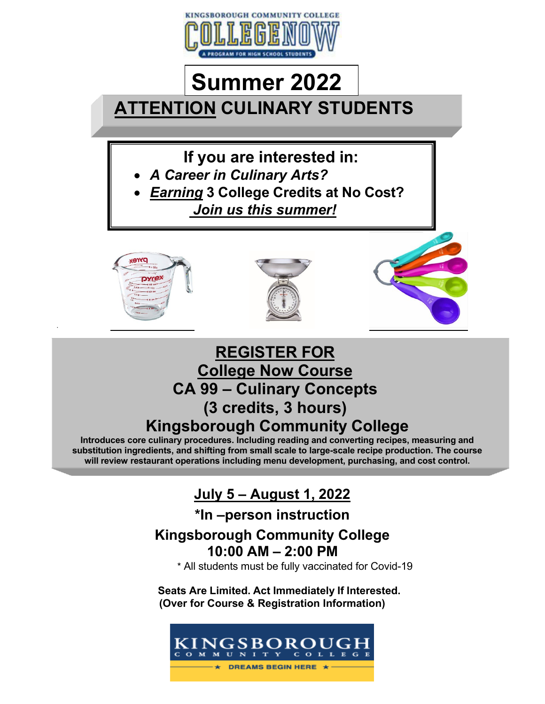

# **ATTENTION CULINARY STUDENTS Summer 2022**

**If you are interested in:**

- *A Career in Culinary Arts?*
- *Earning* **3 College Credits at No Cost?**  *Join us this summer!*



•





## **REGISTER FOR College Now Course CA 99 – Culinary Concepts (3 credits, 3 hours) Kingsborough Community College**

**Introduces core culinary procedures. Including reading and converting recipes, measuring and substitution ingredients, and shifting from small scale to large-scale recipe production. The course will review restaurant operations including menu development, purchasing, and cost control.**

## **July 5 – August 1, 2022**

## **\*In –person instruction**

## **Kingsborough Community College 10:00 AM – 2:00 PM**

\* All students must be fully vaccinated for Covid-19

**Seats Are Limited. Act Immediately If Interested. (Over for Course & Registration Information)**